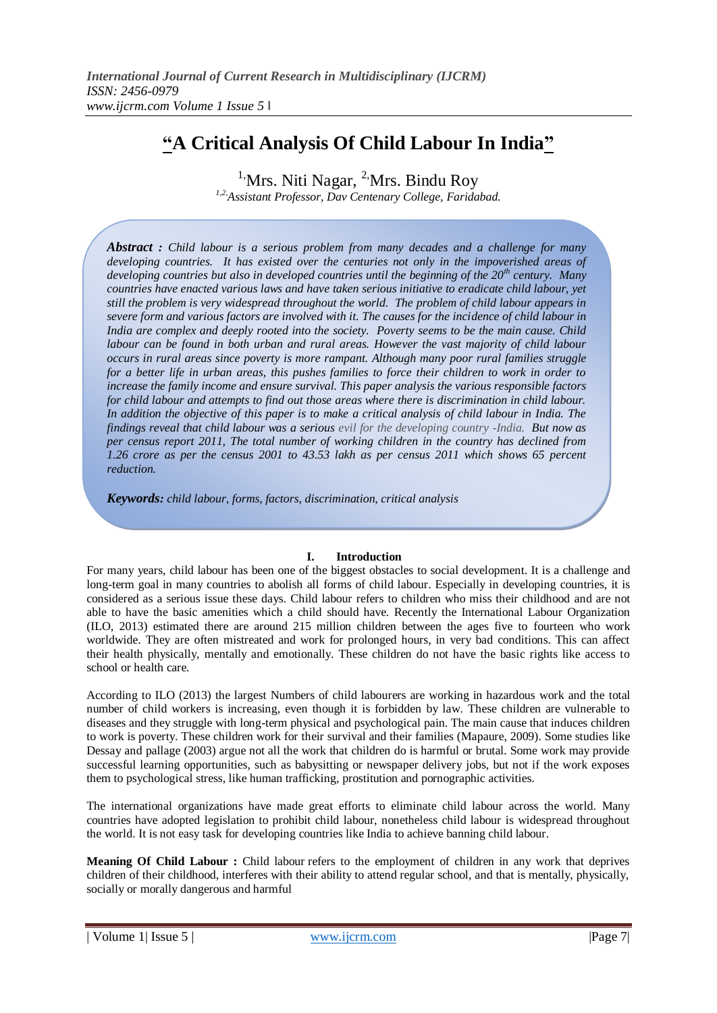# **"A Critical Analysis Of Child Labour In India"**

 $<sup>1</sup>$ Mrs. Niti Nagar,  $<sup>2</sup>$ Mrs. Bindu Roy</sup></sup> *1,2,Assistant Professor, Dav Centenary College, Faridabad.*

*Abstract : Child labour is a serious problem from many decades and a challenge for many developing countries. It has existed over the centuries not only in the impoverished areas of developing countries but also in developed countries until the beginning of the 20th century. Many countries have enacted various laws and have taken serious initiative to eradicate child labour, yet still the problem is very widespread throughout the world. The problem of child labour appears in severe form and various factors are involved with it. The causes for the incidence of child labour in India are complex and deeply rooted into the society. Poverty seems to be the main cause. Child labour can be found in both urban and rural areas. However the vast majority of child labour occurs in rural areas since poverty is more rampant. Although many poor rural families struggle for a better life in urban areas, this pushes families to force their children to work in order to increase the family income and ensure survival. This paper analysis the various responsible factors for child labour and attempts to find out those areas where there is discrimination in child labour. In addition the objective of this paper is to make a critical analysis of child labour in India. The findings reveal that child labour was a serious evil for the developing country -India. But now as per census report 2011, The total number of working children in the country has declined from 1.26 crore as per the census 2001 to 43.53 lakh as per census 2011 which shows 65 percent reduction.* 

*Keywords: child labour, forms, factors, discrimination, critical analysis*

# **I. Introduction**

For many years, child labour has been one of the biggest obstacles to social development. It is a challenge and long-term goal in many countries to abolish all forms of child labour. Especially in developing countries, it is considered as a serious issue these days. Child labour refers to children who miss their childhood and are not able to have the basic amenities which a child should have. Recently the International Labour Organization (ILO, 2013) estimated there are around 215 million children between the ages five to fourteen who work worldwide. They are often mistreated and work for prolonged hours, in very bad conditions. This can affect their health physically, mentally and emotionally. These children do not have the basic rights like access to school or health care.

According to ILO (2013) the largest Numbers of child labourers are working in hazardous work and the total number of child workers is increasing, even though it is forbidden by law. These children are vulnerable to diseases and they struggle with long-term physical and psychological pain. The main cause that induces children to work is poverty. These children work for their survival and their families (Mapaure, 2009). Some studies like Dessay and pallage (2003) argue not all the work that children do is harmful or brutal. Some work may provide successful learning opportunities, such as babysitting or newspaper delivery jobs, but not if the work exposes them to psychological stress, like human trafficking, prostitution and pornographic activities.

The international organizations have made great efforts to eliminate child labour across the world. Many countries have adopted legislation to prohibit child labour, nonetheless child labour is widespread throughout the world. It is not easy task for developing countries like India to achieve banning child labour.

**Meaning Of Child Labour :** Child labour refers to the employment of children in any work that deprives children of their childhood, interferes with their ability to attend regular school, and that is mentally, physically, socially or morally dangerous and harmful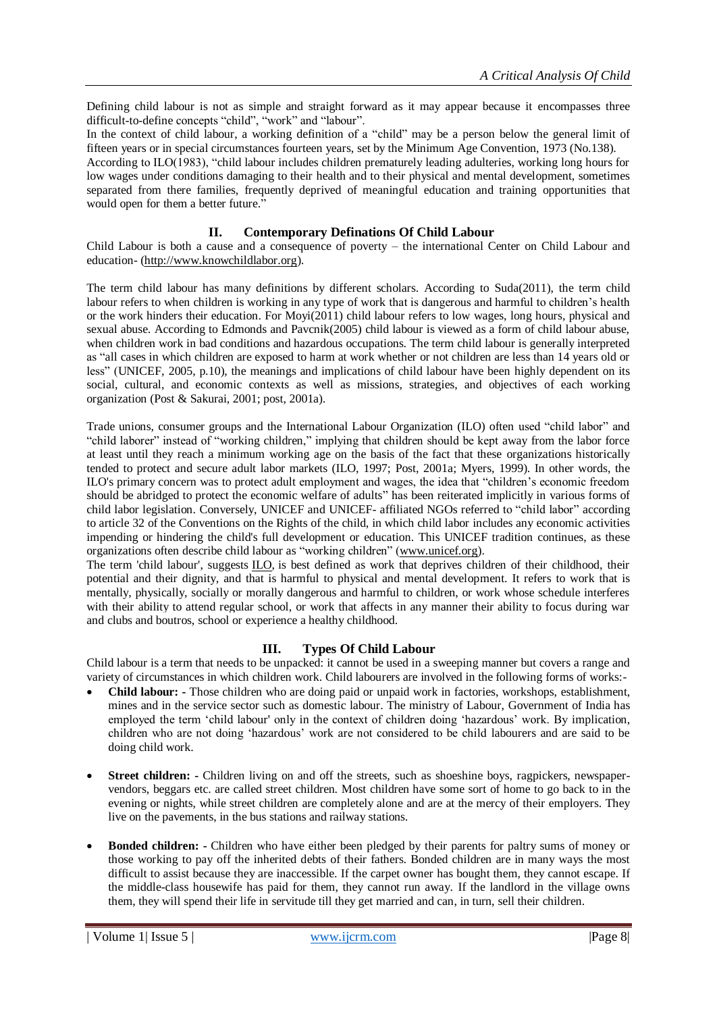Defining child labour is not as simple and straight forward as it may appear because it encompasses three difficult-to-define concepts "child", "work" and "labour".

In the context of child labour, a working definition of a "child" may be a person below the general limit of fifteen years or in special circumstances fourteen years, set by the Minimum Age Convention, 1973 (No.138).

According to ILO(1983), "child labour includes children prematurely leading adulteries, working long hours for low wages under conditions damaging to their health and to their physical and mental development, sometimes separated from there families, frequently deprived of meaningful education and training opportunities that would open for them a better future."

# **II. Contemporary Definations Of Child Labour**

Child Labour is both a cause and a consequence of poverty – the international Center on Child Labour and education- [\(http://www.knowchildlabor.org\)](http://www.knowchildlabor.org/).

The term child labour has many definitions by different scholars. According to Suda(2011), the term child labour refers to when children is working in any type of work that is dangerous and harmful to children"s health or the work hinders their education. For Moyi(2011) child labour refers to low wages, long hours, physical and sexual abuse. According to Edmonds and Pavcnik(2005) child labour is viewed as a form of child labour abuse, when children work in bad conditions and hazardous occupations. The term child labour is generally interpreted as "all cases in which children are exposed to harm at work whether or not children are less than 14 years old or less" (UNICEF, 2005, p.10), the meanings and implications of child labour have been highly dependent on its social, cultural, and economic contexts as well as missions, strategies, and objectives of each working organization (Post & Sakurai, 2001; post, 2001a).

Trade unions, consumer groups and the International Labour Organization (ILO) often used "child labor" and "child laborer" instead of "working children," implying that children should be kept away from the labor force at least until they reach a minimum working age on the basis of the fact that these organizations historically tended to protect and secure adult labor markets (ILO, 1997; Post, 2001a; Myers, 1999). In other words, the ILO's primary concern was to protect adult employment and wages, the idea that "children"s economic freedom should be abridged to protect the economic welfare of adults" has been reiterated implicitly in various forms of child labor legislation. Conversely, UNICEF and UNICEF- affiliated NGOs referred to "child labor" according to article 32 of the Conventions on the Rights of the child, in which child labor includes any economic activities impending or hindering the child's full development or education. This UNICEF tradition continues, as these organizations often describe child labour as "working children" [\(www.unicef.org\)](http://www.unicef.org/).

The term 'child labour', suggests [ILO,](https://en.wikipedia.org/wiki/International_Labour_Organization) is best defined as work that deprives children of their childhood, their potential and their dignity, and that is harmful to physical and mental development. It refers to work that is mentally, physically, socially or morally dangerous and harmful to children, or work whose schedule interferes with their ability to attend regular school, or work that affects in any manner their ability to focus during war and clubs and boutros, school or experience a healthy childhood.

# **III. Types Of Child Labour**

Child labour is a term that needs to be unpacked: it cannot be used in a sweeping manner but covers a range and variety of circumstances in which children work. Child labourers are involved in the following forms of works:-

- **Child labour: -** Those children who are doing paid or unpaid work in factories, workshops, establishment, mines and in the service sector such as domestic labour. The ministry of Labour, Government of India has employed the term "child labour' only in the context of children doing "hazardous" work. By implication, children who are not doing "hazardous" work are not considered to be child labourers and are said to be doing child work.
- **Street children: -** Children living on and off the streets, such as shoeshine boys, ragpickers, newspapervendors, beggars etc. are called street children. Most children have some sort of home to go back to in the evening or nights, while street children are completely alone and are at the mercy of their employers. They live on the pavements, in the bus stations and railway stations.
- **Bonded children: -** Children who have either been pledged by their parents for paltry sums of money or those working to pay off the inherited debts of their fathers. Bonded children are in many ways the most difficult to assist because they are inaccessible. If the carpet owner has bought them, they cannot escape. If the middle-class housewife has paid for them, they cannot run away. If the landlord in the village owns them, they will spend their life in servitude till they get married and can, in turn, sell their children.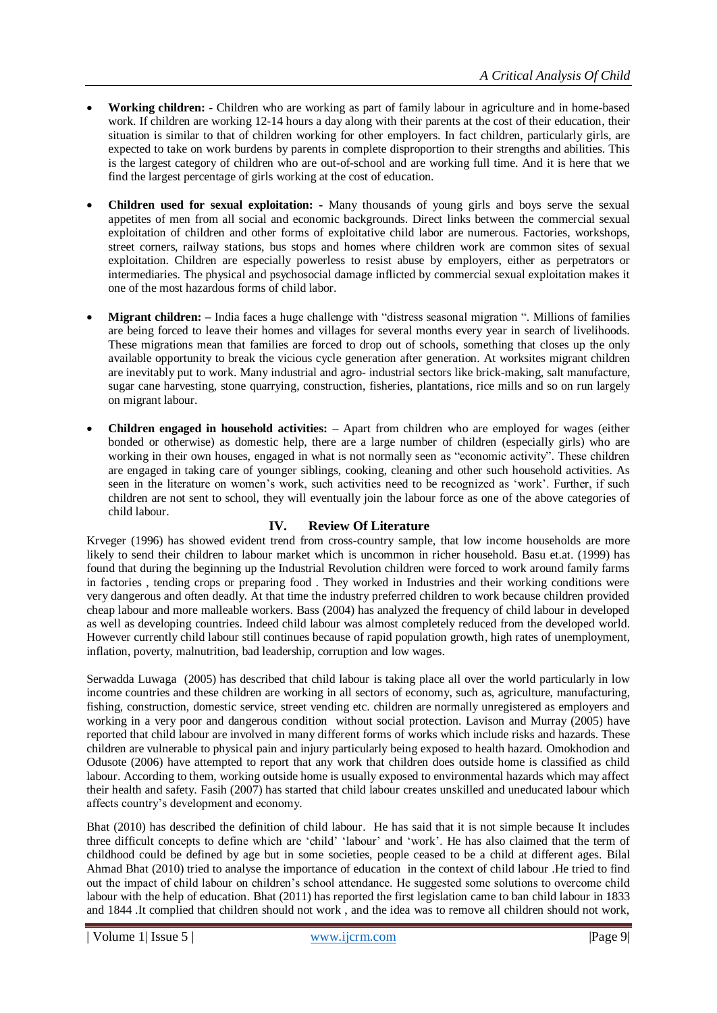- **Working children:** Children who are working as part of family labour in agriculture and in home-based work. If children are working 12-14 hours a day along with their parents at the cost of their education, their situation is similar to that of children working for other employers. In fact children, particularly girls, are expected to take on work burdens by parents in complete disproportion to their strengths and abilities. This is the largest category of children who are out-of-school and are working full time. And it is here that we find the largest percentage of girls working at the cost of education.
- **Children used for sexual exploitation: -** Many thousands of young girls and boys serve the sexual appetites of men from all social and economic backgrounds. Direct links between the commercial sexual exploitation of children and other forms of exploitative child labor are numerous. Factories, workshops, street corners, railway stations, bus stops and homes where children work are common sites of sexual exploitation. Children are especially powerless to resist abuse by employers, either as perpetrators or intermediaries. The physical and psychosocial damage inflicted by commercial sexual exploitation makes it one of the most hazardous forms of child labor.
- **Migrant children: –** India faces a huge challenge with "distress seasonal migration ". Millions of families are being forced to leave their homes and villages for several months every year in search of livelihoods. These migrations mean that families are forced to drop out of schools, something that closes up the only available opportunity to break the vicious cycle generation after generation. At worksites migrant children are inevitably put to work. Many industrial and agro- industrial sectors like brick-making, salt manufacture, sugar cane harvesting, stone quarrying, construction, fisheries, plantations, rice mills and so on run largely on migrant labour.
- **Children engaged in household activities: –** Apart from children who are employed for wages (either bonded or otherwise) as domestic help, there are a large number of children (especially girls) who are working in their own houses, engaged in what is not normally seen as "economic activity". These children are engaged in taking care of younger siblings, cooking, cleaning and other such household activities. As seen in the literature on women"s work, such activities need to be recognized as "work". Further, if such children are not sent to school, they will eventually join the labour force as one of the above categories of child labour.

# **IV. Review Of Literature**

Krveger (1996) has showed evident trend from cross-country sample, that low income households are more likely to send their children to labour market which is uncommon in richer household. Basu et.at. (1999) has found that during the beginning up the Industrial Revolution children were forced to work around family farms in factories , tending crops or preparing food . They worked in Industries and their working conditions were very dangerous and often deadly. At that time the industry preferred children to work because children provided cheap labour and more malleable workers. Bass (2004) has analyzed the frequency of child labour in developed as well as developing countries. Indeed child labour was almost completely reduced from the developed world. However currently child labour still continues because of rapid population growth, high rates of unemployment, inflation, poverty, malnutrition, bad leadership, corruption and low wages.

Serwadda Luwaga (2005) has described that child labour is taking place all over the world particularly in low income countries and these children are working in all sectors of economy, such as, agriculture, manufacturing, fishing, construction, domestic service, street vending etc. children are normally unregistered as employers and working in a very poor and dangerous condition without social protection. Lavison and Murray (2005) have reported that child labour are involved in many different forms of works which include risks and hazards. These children are vulnerable to physical pain and injury particularly being exposed to health hazard. Omokhodion and Odusote (2006) have attempted to report that any work that children does outside home is classified as child labour. According to them, working outside home is usually exposed to environmental hazards which may affect their health and safety. Fasih (2007) has started that child labour creates unskilled and uneducated labour which affects country"s development and economy.

Bhat (2010) has described the definition of child labour. He has said that it is not simple because It includes three difficult concepts to define which are "child" "labour" and "work". He has also claimed that the term of childhood could be defined by age but in some societies, people ceased to be a child at different ages. Bilal Ahmad Bhat (2010) tried to analyse the importance of education in the context of child labour .He tried to find out the impact of child labour on children"s school attendance. He suggested some solutions to overcome child labour with the help of education. Bhat (2011) has reported the first legislation came to ban child labour in 1833 and 1844 .It complied that children should not work , and the idea was to remove all children should not work,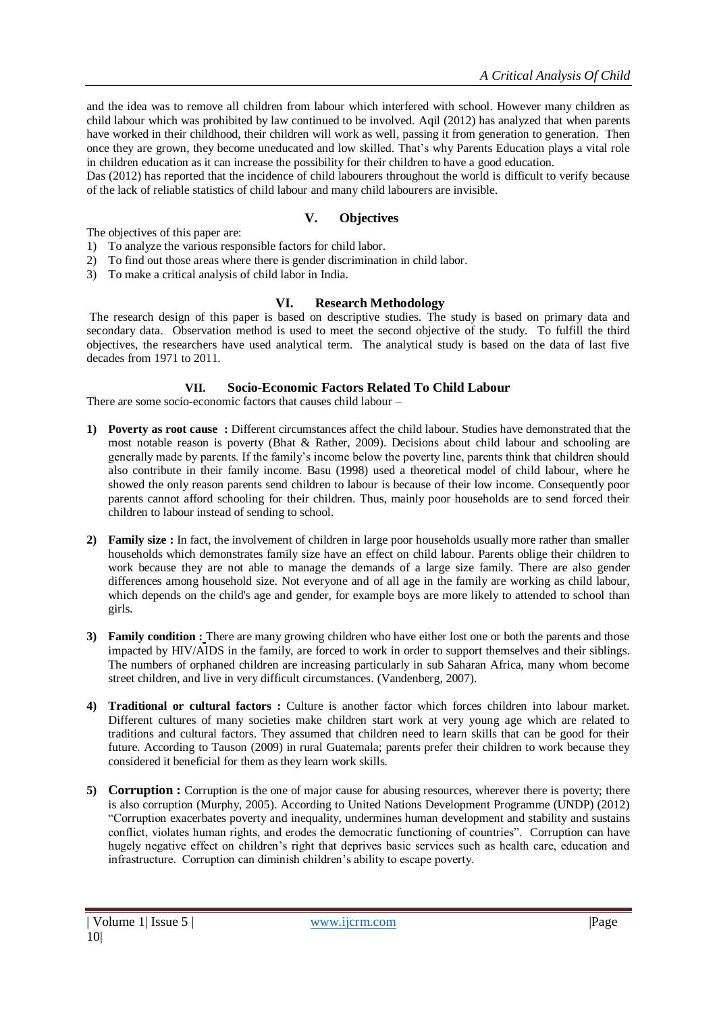and the idea was to remove all children from labour which interfered with school. However many children as child labour which was prohibited by law continued to be involved. Aqil (2012) has analyzed that when parents have worked in their childhood, their children will work as well, passing it from generation to generation. Then once they are grown, they become uneducated and low skilled. That"s why Parents Education plays a vital role in children education as it can increase the possibility for their children to have a good education.

Das (2012) has reported that the incidence of child labourers throughout the world is difficult to verify because of the lack of reliable statistics of child labour and many child labourers are invisible.

# **V. Objectives**

The objectives of this paper are:

- 1) To analyze the various responsible factors for child labor.
- 2) To find out those areas where there is gender discrimination in child labor.
- 3) To make a critical analysis of child labor in India.

# **VI. Research Methodology**

The research design of this paper is based on descriptive studies. The study is based on primary data and secondary data. Observation method is used to meet the second objective of the study. To fulfill the third objectives, the researchers have used analytical term. The analytical study is based on the data of last five decades from 1971 to 2011.

# **VII. Socio-Economic Factors Related To Child Labour**

There are some socio-economic factors that causes child labour –

- **1) Poverty as root cause :** Different circumstances affect the child labour. Studies have demonstrated that the most notable reason is poverty (Bhat & Rather, 2009). Decisions about child labour and schooling are generally made by parents. If the family"s income below the poverty line, parents think that children should also contribute in their family income. Basu (1998) used a theoretical model of child labour, where he showed the only reason parents send children to labour is because of their low income. Consequently poor parents cannot afford schooling for their children. Thus, mainly poor households are to send forced their children to labour instead of sending to school.
- **2) Family size :** In fact, the involvement of children in large poor households usually more rather than smaller households which demonstrates family size have an effect on child labour. Parents oblige their children to work because they are not able to manage the demands of a large size family. There are also gender differences among household size. Not everyone and of all age in the family are working as child labour, which depends on the child's age and gender, for example boys are more likely to attended to school than girls.
- **3) Family condition :** There are many growing children who have either lost one or both the parents and those impacted by HIV/AIDS in the family, are forced to work in order to support themselves and their siblings. The numbers of orphaned children are increasing particularly in sub Saharan Africa, many whom become street children, and live in very difficult circumstances. (Vandenberg, 2007).
- **4) Traditional or cultural factors :** Culture is another factor which forces children into labour market. Different cultures of many societies make children start work at very young age which are related to traditions and cultural factors. They assumed that children need to learn skills that can be good for their future. According to Tauson (2009) in rural Guatemala; parents prefer their children to work because they considered it beneficial for them as they learn work skills.
- **5) Corruption :** Corruption is the one of major cause for abusing resources, wherever there is poverty; there is also corruption (Murphy, 2005). According to United Nations Development Programme (UNDP) (2012) "Corruption exacerbates poverty and inequality, undermines human development and stability and sustains conflict, violates human rights, and erodes the democratic functioning of countries". Corruption can have hugely negative effect on children"s right that deprives basic services such as health care, education and infrastructure. Corruption can diminish children"s ability to escape poverty.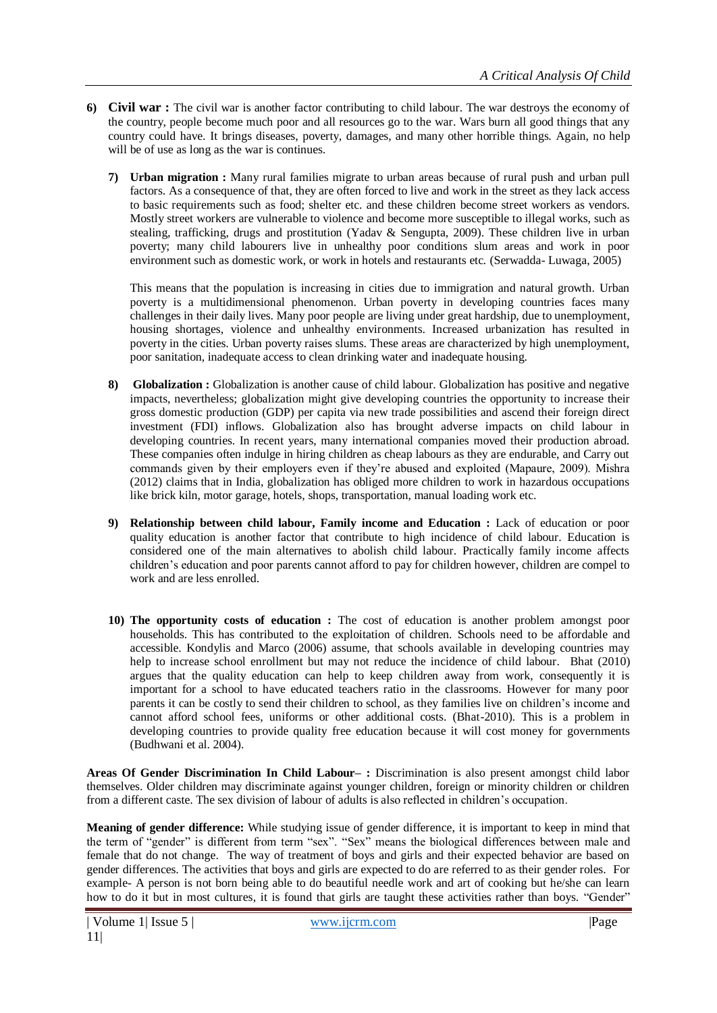- **6) Civil war :** The civil war is another factor contributing to child labour. The war destroys the economy of the country, people become much poor and all resources go to the war. Wars burn all good things that any country could have. It brings diseases, poverty, damages, and many other horrible things. Again, no help will be of use as long as the war is continues.
	- **7) Urban migration :** Many rural families migrate to urban areas because of rural push and urban pull factors. As a consequence of that, they are often forced to live and work in the street as they lack access to basic requirements such as food; shelter etc. and these children become street workers as vendors. Mostly street workers are vulnerable to violence and become more susceptible to illegal works, such as stealing, trafficking, drugs and prostitution (Yadav & Sengupta, 2009). These children live in urban poverty; many child labourers live in unhealthy poor conditions slum areas and work in poor environment such as domestic work, or work in hotels and restaurants etc. (Serwadda- Luwaga, 2005)

This means that the population is increasing in cities due to immigration and natural growth. Urban poverty is a multidimensional phenomenon. Urban poverty in developing countries faces many challenges in their daily lives. Many poor people are living under great hardship, due to unemployment, housing shortages, violence and unhealthy environments. Increased urbanization has resulted in poverty in the cities. Urban poverty raises slums. These areas are characterized by high unemployment, poor sanitation, inadequate access to clean drinking water and inadequate housing.

- **8) Globalization :** Globalization is another cause of child labour. Globalization has positive and negative impacts, nevertheless; globalization might give developing countries the opportunity to increase their gross domestic production (GDP) per capita via new trade possibilities and ascend their foreign direct investment (FDI) inflows. Globalization also has brought adverse impacts on child labour in developing countries. In recent years, many international companies moved their production abroad. These companies often indulge in hiring children as cheap labours as they are endurable, and Carry out commands given by their employers even if they"re abused and exploited (Mapaure, 2009). Mishra (2012) claims that in India, globalization has obliged more children to work in hazardous occupations like brick kiln, motor garage, hotels, shops, transportation, manual loading work etc.
- **9) Relationship between child labour, Family income and Education :** Lack of education or poor quality education is another factor that contribute to high incidence of child labour. Education is considered one of the main alternatives to abolish child labour. Practically family income affects children"s education and poor parents cannot afford to pay for children however, children are compel to work and are less enrolled.
- **10) The opportunity costs of education :** The cost of education is another problem amongst poor households. This has contributed to the exploitation of children. Schools need to be affordable and accessible. Kondylis and Marco (2006) assume, that schools available in developing countries may help to increase school enrollment but may not reduce the incidence of child labour. Bhat (2010) argues that the quality education can help to keep children away from work, consequently it is important for a school to have educated teachers ratio in the classrooms. However for many poor parents it can be costly to send their children to school, as they families live on children's income and cannot afford school fees, uniforms or other additional costs. (Bhat-2010). This is a problem in developing countries to provide quality free education because it will cost money for governments (Budhwani et al. 2004).

**Areas Of Gender Discrimination In Child Labour– :** Discrimination is also present amongst child labor themselves. Older children may discriminate against younger children, foreign or minority children or children from a different caste. The sex division of labour of adults is also reflected in children"s occupation.

**Meaning of gender difference:** While studying issue of gender difference, it is important to keep in mind that the term of "gender" is different from term "sex". "Sex" means the biological differences between male and female that do not change. The way of treatment of boys and girls and their expected behavior are based on gender differences. The activities that boys and girls are expected to do are referred to as their gender roles. For example- A person is not born being able to do beautiful needle work and art of cooking but he/she can learn how to do it but in most cultures, it is found that girls are taught these activities rather than boys. "Gender"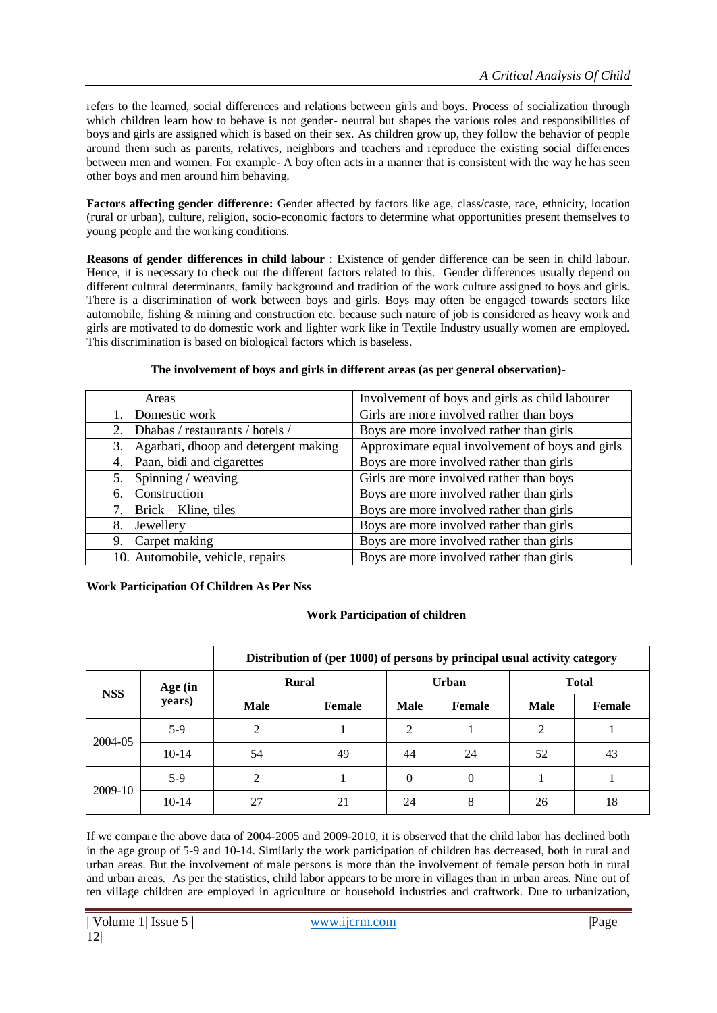refers to the learned, social differences and relations between girls and boys. Process of socialization through which children learn how to behave is not gender- neutral but shapes the various roles and responsibilities of boys and girls are assigned which is based on their sex. As children grow up, they follow the behavior of people around them such as parents, relatives, neighbors and teachers and reproduce the existing social differences between men and women. For example- A boy often acts in a manner that is consistent with the way he has seen other boys and men around him behaving.

**Factors affecting gender difference:** Gender affected by factors like age, class/caste, race, ethnicity, location (rural or urban), culture, religion, socio-economic factors to determine what opportunities present themselves to young people and the working conditions.

**Reasons of gender differences in child labour** : Existence of gender difference can be seen in child labour. Hence, it is necessary to check out the different factors related to this. Gender differences usually depend on different cultural determinants, family background and tradition of the work culture assigned to boys and girls. There is a discrimination of work between boys and girls. Boys may often be engaged towards sectors like automobile, fishing & mining and construction etc. because such nature of job is considered as heavy work and girls are motivated to do domestic work and lighter work like in Textile Industry usually women are employed. This discrimination is based on biological factors which is baseless.

| Areas                                      | Involvement of boys and girls as child labourer |
|--------------------------------------------|-------------------------------------------------|
| 1. Domestic work                           | Girls are more involved rather than boys        |
| 2. Dhabas / restaurants / hotels /         | Boys are more involved rather than girls        |
| Agarbati, dhoop and detergent making<br>3. | Approximate equal involvement of boys and girls |
| 4. Paan, bidi and cigarettes               | Boys are more involved rather than girls        |
| 5. Spinning / weaving                      | Girls are more involved rather than boys        |
| 6. Construction                            | Boys are more involved rather than girls        |
| 7. Brick – Kline, tiles                    | Boys are more involved rather than girls        |
| Jewellery<br>8.                            | Boys are more involved rather than girls        |
| Carpet making<br>9.                        | Boys are more involved rather than girls        |
| 10. Automobile, vehicle, repairs           | Boys are more involved rather than girls        |

#### **The involvement of boys and girls in different areas (as per general observation)-**

**Work Participation Of Children As Per Nss**

# **Work Participation of children**

|            |                   | Distribution of (per 1000) of persons by principal usual activity category |               |             |               |               |        |  |  |
|------------|-------------------|----------------------------------------------------------------------------|---------------|-------------|---------------|---------------|--------|--|--|
| <b>NSS</b> | Age (in<br>years) |                                                                            | <b>Rural</b>  |             | <b>Urban</b>  | <b>Total</b>  |        |  |  |
|            |                   | <b>Male</b>                                                                | <b>Female</b> | <b>Male</b> | <b>Female</b> | <b>Male</b>   | Female |  |  |
| 2004-05    | $5-9$             | 2                                                                          |               | 2           |               | $\mathcal{D}$ |        |  |  |
|            | $10-14$           | 54                                                                         | 49            | 44          | 24            | 52            | 43     |  |  |
| 2009-10    | $5-9$             | 2                                                                          |               | $\theta$    | $\theta$      |               |        |  |  |
|            | $10-14$           | 27                                                                         | 21            | 24          | 8             | 26            | 18     |  |  |

If we compare the above data of 2004-2005 and 2009-2010, it is observed that the child labor has declined both in the age group of 5-9 and 10-14. Similarly the work participation of children has decreased, both in rural and urban areas. But the involvement of male persons is more than the involvement of female person both in rural and urban areas. As per the statistics, child labor appears to be more in villages than in urban areas. Nine out of ten village children are employed in agriculture or household industries and craftwork. Due to urbanization,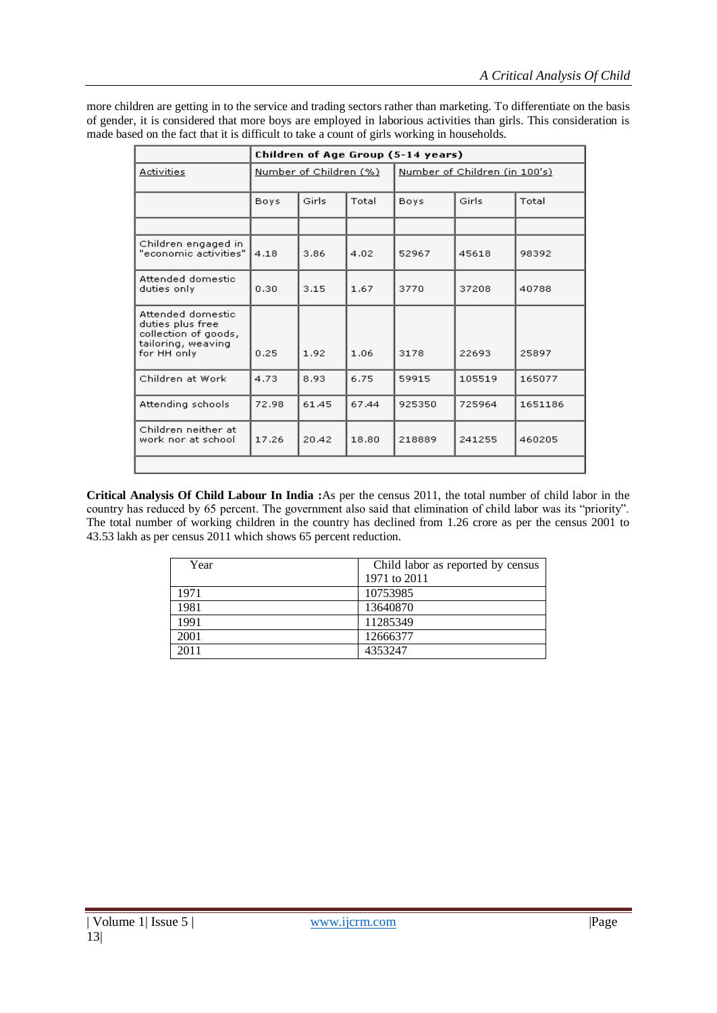| more children are getting in to the service and trading sectors rather than marketing. To differentiate on the basis |
|----------------------------------------------------------------------------------------------------------------------|
| of gender, it is considered that more boys are employed in laborious activities than girls. This consideration is    |
| made based on the fact that it is difficult to take a count of girls working in households.                          |

|                                                                                                    |                        | Children of Age Group (5-14 years) |       |                               |        |         |  |  |  |
|----------------------------------------------------------------------------------------------------|------------------------|------------------------------------|-------|-------------------------------|--------|---------|--|--|--|
| Activities                                                                                         | Number of Children (%) |                                    |       | Number of Children (in 100's) |        |         |  |  |  |
|                                                                                                    | Girls<br>Boys          |                                    | Total | Boys                          | Girls  | Total   |  |  |  |
|                                                                                                    |                        |                                    |       |                               |        |         |  |  |  |
| Children engaged in<br>"economic activities"                                                       | 4.18                   | 3.86                               | 4.02  | 52967                         | 45618  | 98392   |  |  |  |
| Attended domestic<br>duties only                                                                   | 0.30                   | 3.15                               | 1.67  | 3770                          | 37208  | 40788   |  |  |  |
| Attended domestic<br>duties plus free<br>collection of goods,<br>tailoring, weaving<br>for HH only | 0.25                   | 1.92                               | 1.06  | 3178                          | 22693  | 25897   |  |  |  |
| Children at Work                                                                                   | 4.73                   | 8.93                               | 6.75  | 59915                         | 105519 | 165077  |  |  |  |
| Attending schools                                                                                  | 72.98                  | 61.45                              | 67.44 | 925350                        | 725964 | 1651186 |  |  |  |
| Children neither at<br>work nor at school                                                          | 17.26                  | 20.42                              | 18.80 | 218889                        | 241255 | 460205  |  |  |  |
|                                                                                                    |                        |                                    |       |                               |        |         |  |  |  |

**Critical Analysis Of Child Labour In India :**As per the census 2011, the total number of child labor in the country has reduced by 65 percent. The government also said that elimination of child labor was its "priority". The total number of working children in the country has declined from 1.26 crore as per the census 2001 to 43.53 lakh as per census 2011 which shows 65 percent reduction.

| Year | Child labor as reported by census |
|------|-----------------------------------|
|      | 1971 to 2011                      |
| 1971 | 10753985                          |
| 1981 | 13640870                          |
| 1991 | 11285349                          |
| 2001 | 12666377                          |
| 2011 | 4353247                           |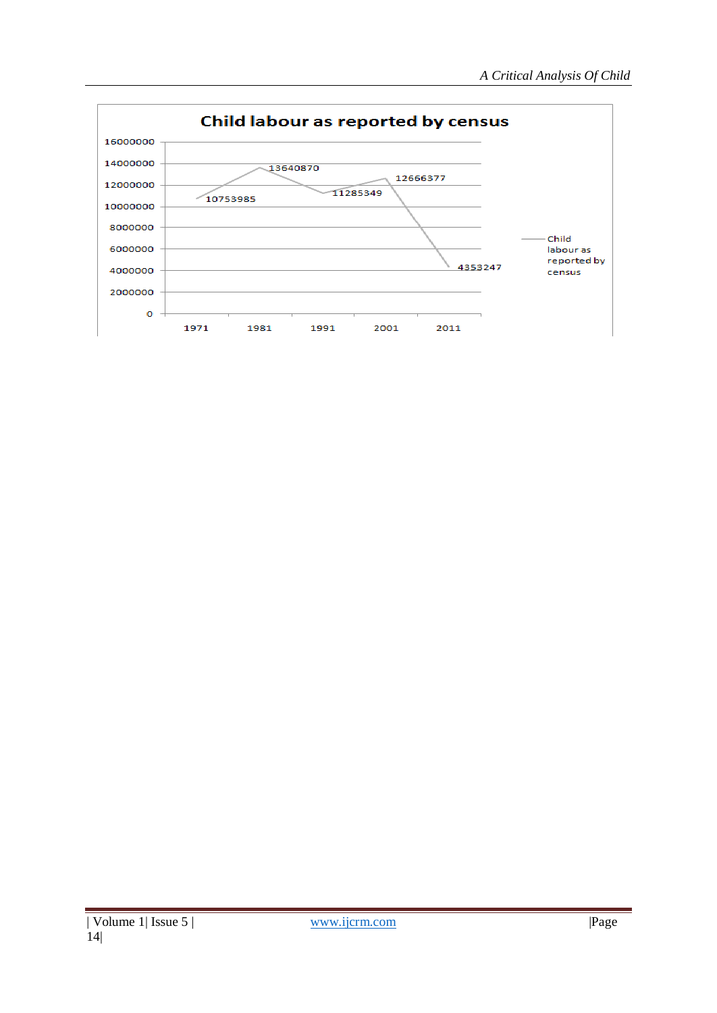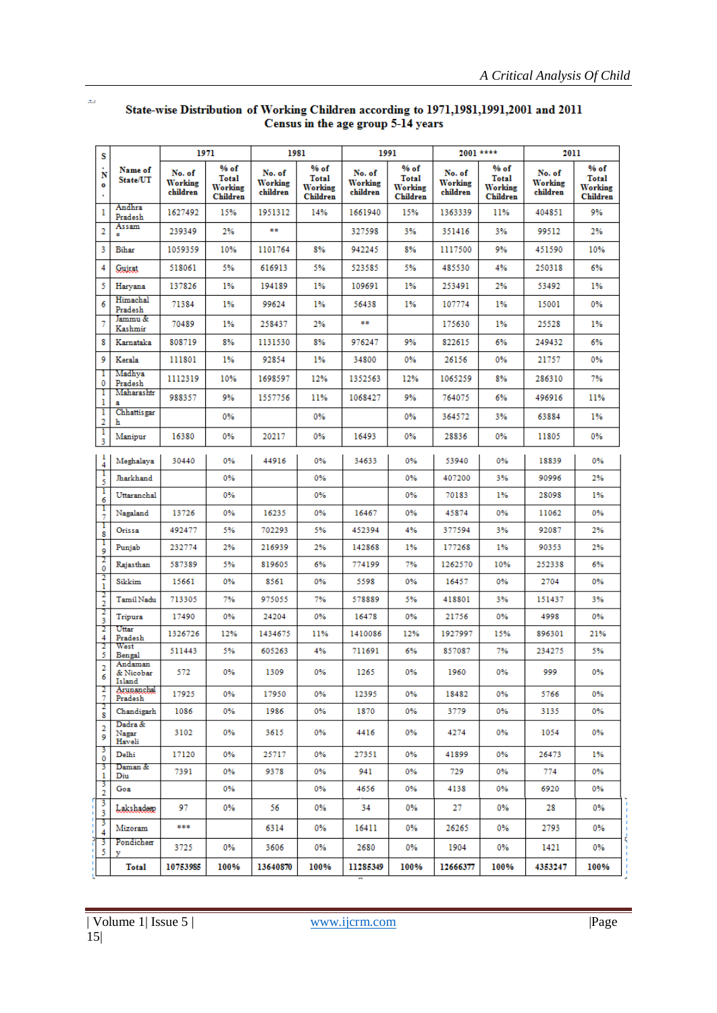| s                   |                            | 1971                          |                                               | 1981                          |                                               | 1991                          |                                               | $2001$ ****                   |                                             | 2011                          |                                               |
|---------------------|----------------------------|-------------------------------|-----------------------------------------------|-------------------------------|-----------------------------------------------|-------------------------------|-----------------------------------------------|-------------------------------|---------------------------------------------|-------------------------------|-----------------------------------------------|
| N<br>o              | Name of<br>State/UT        | No. of<br>Working<br>children | $%$ of<br>Total<br>Working<br><b>Children</b> | No. of<br>Working<br>children | $%$ of<br>Total<br>Working<br><b>Children</b> | No. of<br>Working<br>children | $%$ of<br>Total<br>Working<br><b>Children</b> | No. of<br>Working<br>children | % of<br>Total<br>Working<br><b>Children</b> | No. of<br>Working<br>children | $%$ of<br>Total<br>Working<br><b>Children</b> |
| 1                   | Andhra<br>Pradesh          | 1627492                       | 15%                                           | 1951312                       | 14%                                           | 1661940                       | 15%                                           | 1363339                       | 11%                                         | 404851                        | 9%                                            |
| $\overline{2}$      | Assam                      | 239349                        | 2%                                            | **                            |                                               | 327598                        | 3%                                            | 351416                        | 3%                                          | 99512                         | 2%                                            |
| 3                   | Bihar                      | 1059359                       | 10%                                           | 1101764                       | 8%                                            | 942245                        | 8%                                            | 1117500                       | 9%                                          | 451590                        | 10%                                           |
| 4                   | Guirat                     | 518061                        | 5%                                            | 616913                        | 5%                                            | 523585                        | 5%                                            | 485530                        | 4%                                          | 250318                        | 6%                                            |
| 5                   | Haryana                    | 137826                        | 1%                                            | 194189                        | 1%                                            | 109691                        | 1%                                            | 253491                        | 2%                                          | 53492                         | 1%                                            |
| 6                   | Himachal<br>Pradesh        | 71384                         | 1%                                            | 99624                         | 1%                                            | 56438                         | 1%                                            | 107774                        | 1%                                          | 15001                         | 0%                                            |
| 7                   | Jammu &<br>Kashmir         | 70489                         | 1%                                            | 258437                        | 2%                                            | **                            |                                               | 175630                        | 1%                                          | 25528                         | 1%                                            |
| 8                   | Karnataka                  | 808719                        | 8%                                            | 1131530                       | 8%                                            | 976247                        | 9%                                            | 822615                        | 6%                                          | 249432                        | 6%                                            |
| 9                   | Kerala                     | 111801                        | 1%                                            | 92854                         | 1%                                            | 34800                         | 0%                                            | 26156                         | 0%                                          | 21757                         | 0%                                            |
| 1<br>0              | Madhya<br>Pradesh          | 1112319                       | 10%                                           | 1698597                       | 12%                                           | 1352563                       | 12%                                           | 1065259                       | 8%                                          | 286310                        | 7%                                            |
| T<br>1              | Maharashtr<br>a            | 988357                        | 9%                                            | 1557756                       | 11%                                           | 1068427                       | 9%                                            | 764075                        | 6%                                          | 496916                        | 11%                                           |
| 1<br>2              | Chhattisgar<br>h           |                               | 0%                                            |                               | 0%                                            |                               | 0%                                            | 364572                        | 3%                                          | 63884                         | 1%                                            |
| 1<br>3              | Manipur                    | 16380                         | 0%                                            | 20217                         | $0\%$                                         | 16493                         | 0%                                            | 28836                         | 0%                                          | 11805                         | 0%                                            |
| 1<br>4              | Meghalaya                  | 30440                         | 0%                                            | 44916                         | 0%                                            | 34633                         | 0%                                            | 53940                         | 0%                                          | 18839                         | 0%                                            |
| Ι<br>5              | Jharkhand                  |                               | 0%                                            |                               | 0%                                            |                               | 0%                                            | 407200                        | 3%                                          | 90996                         | 2%                                            |
| ı<br>6              | Uttaranchal                |                               | 0%                                            |                               | 0%                                            |                               | 0%                                            | 70183                         | 1%                                          | 28098                         | 1%                                            |
| ı<br>7              | Nagaland                   | 13726                         | 0%                                            | 16235                         | 0%                                            | 16467                         | 0%                                            | 45874                         | 0%                                          | 11062                         | 0%                                            |
| τ<br>8              | Orissa                     | 492477                        | 5%                                            | 702293                        | 5%                                            | 452394                        | 4%                                            | 377594                        | 3%                                          | 92087                         | 2%                                            |
| Ι<br>9              | Punjab                     | 232774                        | 2%                                            | 216939                        | 2%                                            | 142868                        | 1%                                            | 177268                        | 1%                                          | 90353                         | 2%                                            |
| 2<br>$\mathbf 0$    | Rajasthan                  | 587389                        | 5%                                            | 819605                        | 6%                                            | 774199                        | 7%                                            | 1262570                       | 10%                                         | 252338                        | 6%                                            |
| 2<br>1              | Sikkim                     | 15661                         | 0%                                            | 8561                          | 0%                                            | 5598                          | 0%                                            | 16457                         | 0%                                          | 2704                          | 0%                                            |
| 2<br>$\overline{2}$ | Tamil Nadu                 | 713305                        | 7%                                            | 975055                        | 7%                                            | 578889                        | 5%                                            | 418801                        | 3%                                          | 151437                        | 3%                                            |
| 2<br>3<br>2         | Tripura<br>Uttar           | 17490                         | 0%                                            | 24204                         | 0%                                            | 16478                         | 0%                                            | 21756                         | 0%                                          | 4998                          | 0%                                            |
| 4<br>2              | Pradesh<br>West            | 1326726                       | 12%                                           | 1434675                       | 11%                                           | 1410086                       | 12%                                           | 1927997                       | 15%                                         | 896301                        | 21%                                           |
| 5                   | Bengal<br>Andaman          | 511443                        | 5%                                            | 605263                        | 4%                                            | 711691                        | 6%                                            | 857087                        | 7%                                          | 234275                        | 5%                                            |
| 2<br>6              | & Nicobar<br>Island        | 572                           | 0%                                            | 1309                          | 0%                                            | 1265                          | 0%                                            | 1960                          | 0%                                          | 999                           | 0%                                            |
| 2<br>7              | Arunanchal<br>Pradesh      | 17925                         | 0%                                            | 17950                         | 0%                                            | 12395                         | 0%                                            | 18482                         | 0%                                          | 5766                          | 0%                                            |
| 2<br>8              | Chandigarh                 | 1086                          | 0%                                            | 1986                          | 0%                                            | 1870                          | 0%                                            | 3779                          | 0%                                          | 3135                          | 0%                                            |
| 2<br>9              | Dadra &<br>Nagar<br>Haveli | 3102                          | 0%                                            | 3615                          | 0%                                            | 4416                          | 0%                                            | 4274                          | 0%                                          | 1054                          | 0%                                            |
| 3<br>0              | Delhi                      | 17120                         | 0%                                            | 25717                         | 0%                                            | 27351                         | 0%                                            | 41899                         | 0%                                          | 26473                         | 1%                                            |
| з<br>1              | Daman &<br>Diu             | 7391                          | 0%                                            | 9378                          | 0%                                            | 941                           | 0%                                            | 729                           | 0%                                          | 774                           | 0%                                            |
| 3<br>2              | Goa                        |                               | 0%                                            |                               | 0%                                            | 4656                          | 0%                                            | 4138                          | 0%                                          | 6920                          | 0%                                            |
| 3<br>3              | Lakshadeep                 | 97                            | 0%                                            | 56.                           | 0%                                            | 34                            | 0%                                            | 27                            | 0%                                          | 28                            | 0%                                            |
| 3<br>4              | Mizoram                    | ***                           |                                               | 6314                          | 0%                                            | 16411                         | 0%                                            | 26265                         | 0%                                          | 2793                          | 0%                                            |
| 3<br>5              | Pondichem<br>v             | 3725                          | 0%                                            | 3606                          | 0%                                            | 2680                          | 0%                                            | 1904                          | 0%                                          | 1421                          | 0%                                            |
|                     | Total                      | 10753985                      | 100%                                          | 13640870                      | 100%                                          | 11285349                      | 100%                                          | 12666377                      | 100%                                        | 4353247                       | 100%                                          |

### State-wise Distribution of Working Children according to 1971,1981,1991,2001 and 2011 Census in the age group 5-14 years

 $\bar{\mathcal{L}}$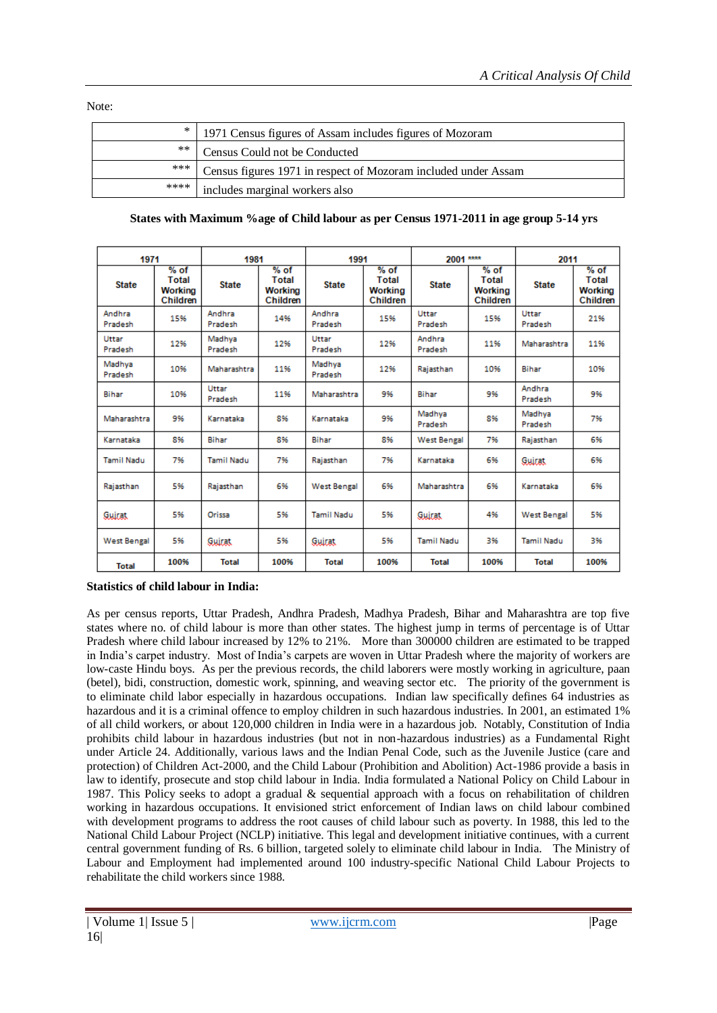Note:

| $*$   | 1971 Census figures of Assam includes figures of Mozoram       |
|-------|----------------------------------------------------------------|
| $***$ | Census Could not be Conducted                                  |
| ***   | Census figures 1971 in respect of Mozoram included under Assam |
| ****  | includes marginal workers also                                 |

**States with Maximum %age of Child labour as per Census 1971-2011 in age group 5-14 yrs**

| 1971               |                                        | 1981              |                                        | 1991              |                                        | $2001$ ****        |                                               | 2011               |                                               |
|--------------------|----------------------------------------|-------------------|----------------------------------------|-------------------|----------------------------------------|--------------------|-----------------------------------------------|--------------------|-----------------------------------------------|
| <b>State</b>       | $%$ of<br>Total<br>Working<br>Children | <b>State</b>      | $%$ of<br>Total<br>Working<br>Children | <b>State</b>      | $%$ of<br>Total<br>Working<br>Children | <b>State</b>       | $%$ of<br>Total<br>Working<br><b>Children</b> | <b>State</b>       | $%$ of<br><b>Total</b><br>Working<br>Children |
| Andhra<br>Pradesh  | 15%                                    | Andhra<br>Pradesh | 14%                                    | Andhra<br>Pradesh | 15%                                    | Uttar<br>Pradesh   | 15%                                           | Uttar<br>Pradesh   | 21%                                           |
| Uttar<br>Pradesh   | 12%                                    | Madhya<br>Pradesh | 12%                                    | Uttar<br>Pradesh  | 12%                                    | Andhra<br>Pradesh  | 11%                                           | Maharashtra        | 11%                                           |
| Madhya<br>Pradesh  | 10%                                    | Maharashtra       | 11%                                    | Madhya<br>Pradesh | 12%                                    | Rajasthan          | 10%                                           | Bihar              | 10%                                           |
| Bihar              | 10%                                    | Uttar<br>Pradesh  | 11%                                    | Maharashtra       | 9%                                     | Bihar              | 9%                                            | Andhra<br>Pradesh  | 9%                                            |
| Maharashtra        | 9%                                     | Karnataka         | 8%                                     | Karnataka         | 9%                                     | Madhya<br>Pradesh  | 8%                                            | Madhya<br>Pradesh  | 7%                                            |
| Karnataka          | 8%                                     | Bihar             | 8%                                     | Bihar             | 8%                                     | <b>West Bengal</b> | 7%                                            | Rajasthan          | 6%                                            |
| <b>Tamil Nadu</b>  | 7%                                     | <b>Tamil Nadu</b> | 7%                                     | Rajasthan         | 7%                                     | Karnataka          | 6%                                            | <b>Guirat</b>      | 6%                                            |
| Rajasthan          | 5%                                     | Rajasthan         | 6%                                     | West Bengal       | 6%                                     | Maharashtra        | 6%                                            | Karnataka          | 6%                                            |
| <b>Guirat</b>      | 5%                                     | Orissa            | 5%                                     | <b>Tamil Nadu</b> | 5%                                     | <b>Guirat</b>      | 4%                                            | <b>West Bengal</b> | 5%                                            |
| <b>West Bengal</b> | 5%                                     | <b>Guirat</b>     | 5%                                     | <b>Guirat</b>     | 5%                                     | <b>Tamil Nadu</b>  | 3%                                            | <b>Tamil Nadu</b>  | 3%                                            |
| <b>Total</b>       | 100%                                   | <b>Total</b>      | 100%                                   | <b>Total</b>      | 100%                                   | <b>Total</b>       | 100%                                          | <b>Total</b>       | 100%                                          |

# **Statistics of child labour in India:**

As per census reports, Uttar Pradesh, Andhra Pradesh, Madhya Pradesh, Bihar and Maharashtra are top five states where no. of child labour is more than other states. The highest jump in terms of percentage is of Uttar Pradesh where child labour increased by 12% to 21%. More than 300000 children are estimated to be trapped in India"s carpet industry. Most of India"s carpets are woven in Uttar Pradesh where the majority of workers are low-caste Hindu boys. As per the previous records, the child laborers were mostly working in agriculture, paan (betel), bidi, construction, domestic work, spinning, and weaving sector etc. The priority of the government is to eliminate child labor especially in hazardous occupations. Indian law specifically defines 64 industries as hazardous and it is a criminal offence to employ children in such hazardous industries. In 2001, an estimated 1% of all child workers, or about 120,000 children in India were in a hazardous job. Notably, Constitution of India prohibits child labour in hazardous industries (but not in non-hazardous industries) as a Fundamental Right under Article 24. Additionally, various laws and the Indian Penal Code, such as the Juvenile Justice (care and protection) of Children Act-2000, and the Child Labour (Prohibition and Abolition) Act-1986 provide a basis in law to identify, prosecute and stop child labour in India. India formulated a National Policy on Child Labour in 1987. This Policy seeks to adopt a gradual & sequential approach with a focus on rehabilitation of children working in hazardous occupations. It envisioned strict enforcement of Indian laws on child labour combined with development programs to address the root causes of child labour such as poverty. In 1988, this led to the National Child Labour Project (NCLP) initiative. This legal and development initiative continues, with a current central government funding of Rs. 6 billion, targeted solely to eliminate child labour in India. The Ministry of Labour and Employment had implemented around 100 industry-specific National Child Labour Projects to rehabilitate the child workers since 1988.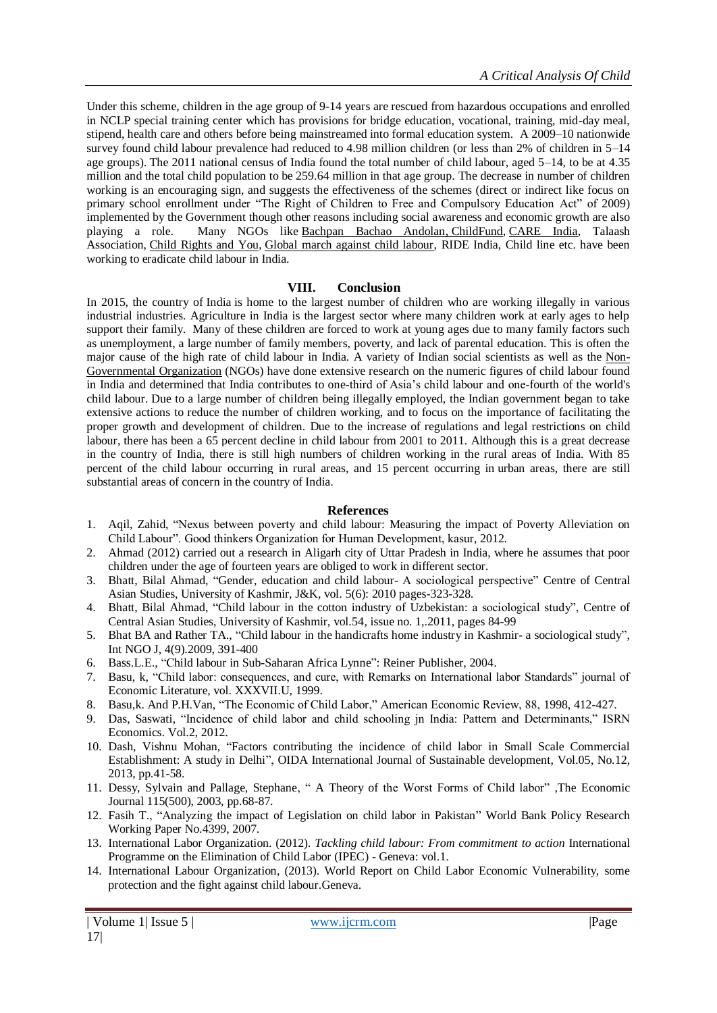Under this scheme, children in the age group of 9-14 years are rescued from hazardous occupations and enrolled in NCLP special training center which has provisions for bridge education, vocational, training, mid-day meal, stipend, health care and others before being mainstreamed into formal education system. A 2009–10 nationwide survey found child labour prevalence had reduced to 4.98 million children (or less than 2% of children in 5–14 age groups). The 2011 national census of India found the total number of child labour, aged 5–14, to be at 4.35 million and the total child population to be 259.64 million in that age group. The decrease in number of children working is an encouraging sign, and suggests the effectiveness of the schemes (direct or indirect like focus on primary school enrollment under "The Right of Children to Free and Compulsory Education Act" of 2009) implemented by the Government though other reasons including social awareness and economic growth are also playing a role. Many NGOs like [Bachpan Bachao Andolan,](https://en.wikipedia.org/wiki/Bachpan_Bachao_Andolan) [ChildFund,](https://en.wikipedia.org/wiki/ChildFund) [CARE India,](https://en.wikipedia.org/wiki/CARE_(relief_agency)) Talaash Association, [Child Rights and You,](https://en.wikipedia.org/wiki/Child_Rights_and_You) [Global march against child labour,](https://en.wikipedia.org/wiki/Global_march_against_child_labour) RIDE India, Child line etc. have been working to eradicate child labour in India.

# **VIII. Conclusion**

In 2015, the country of [India](https://en.wikipedia.org/wiki/India) is home to the largest number of children who are working illegally in various industrial industries. Agriculture in India is the largest sector where many children work at early ages to help support their family. Many of these children are forced to work at young ages due to many family factors such as unemployment, a large number of family members, poverty, and lack of parental education. This is often the major cause of the high rate of child labour in India. A variety of Indian social scientists as well as the [Non-](https://en.wikipedia.org/wiki/Non-governmental_organisation)[Governmental Organization](https://en.wikipedia.org/wiki/Non-governmental_organisation) (NGOs) have done extensive research on the numeric figures of child labour found in India and determined that India contributes to one-third of Asia"s child labour and one-fourth of the world's child labour. Due to a large number of children being illegally employed, the Indian government began to take extensive actions to reduce the number of children working, and to focus on the importance of facilitating the proper growth and development of children. Due to the increase of regulations and legal restrictions on child labour, there has been a 65 percent decline in child labour from 2001 to 2011. Although this is a great decrease in the country of India, there is still high numbers of children working in the rural areas of India. With 85 percent of the child labour occurring in [rural areas,](https://en.wikipedia.org/wiki/Rural_area) and 15 percent occurring in [urban areas,](https://en.wikipedia.org/wiki/Urban_area) there are still substantial areas of concern in the country of India.

# **References**

- 1. Aqil, Zahid, "Nexus between poverty and child labour: Measuring the impact of Poverty Alleviation on Child Labour". Good thinkers Organization for Human Development, kasur, 2012.
- 2. Ahmad (2012) carried out a research in Aligarh city of Uttar Pradesh in India, where he assumes that poor children under the age of fourteen years are obliged to work in different sector.
- 3. Bhatt, Bilal Ahmad, "Gender, education and child labour- A sociological perspective" Centre of Central Asian Studies, University of Kashmir, J&K, vol. 5(6): 2010 pages-323-328.
- 4. Bhatt, Bilal Ahmad, "Child labour in the cotton industry of Uzbekistan: a sociological study", Centre of Central Asian Studies, University of Kashmir, vol.54, issue no. 1,.2011, pages 84-99
- 5. Bhat BA and Rather TA., "Child labour in the handicrafts home industry in Kashmir- a sociological study", Int NGO J, 4(9).2009, 391-400
- 6. Bass.L.E., "Child labour in Sub-Saharan Africa Lynne": Reiner Publisher, 2004.
- 7. Basu, k, "Child labor: consequences, and cure, with Remarks on International labor Standards" journal of Economic Literature, vol. XXXVII.U, 1999.
- 8. Basu,k. And P.H.Van, "The Economic of Child Labor," American Economic Review, 88, 1998, 412-427.
- 9. Das, Saswati, "Incidence of child labor and child schooling jn India: Pattern and Determinants," ISRN Economics. Vol.2, 2012.
- 10. Dash, Vishnu Mohan, "Factors contributing the incidence of child labor in Small Scale Commercial Establishment: A study in Delhi", OIDA International Journal of Sustainable development, Vol.05, No.12, 2013, pp.41-58.
- 11. Dessy, Sylvain and Pallage, Stephane, " A Theory of the Worst Forms of Child labor" ,The Economic Journal 115(500), 2003, pp.68-87.
- 12. Fasih T., "Analyzing the impact of Legislation on child labor in Pakistan" World Bank Policy Research Working Paper No.4399, 2007.
- 13. International Labor Organization. (2012). *Tackling child labour: From commitment to action* International Programme on the Elimination of Child Labor (IPEC) - Geneva: vol.1.
- 14. International Labour Organization, (2013). World Report on Child Labor Economic Vulnerability, some protection and the fight against child labour.Geneva.